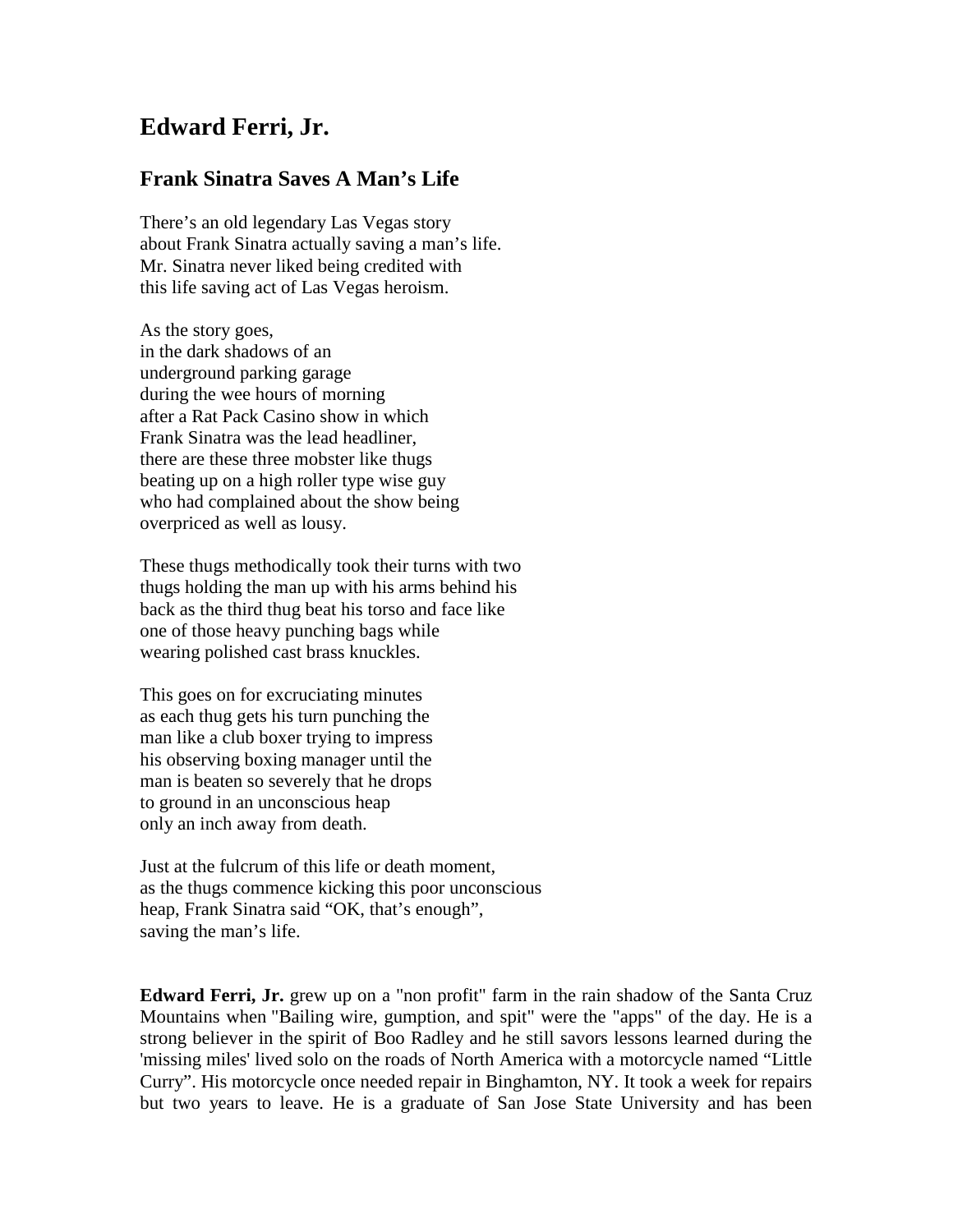## **Edward Ferri, Jr.**

## **Frank Sinatra Saves A Man's Life**

There's an old legendary Las Vegas story about Frank Sinatra actually saving a man's life. Mr. Sinatra never liked being credited with this life saving act of Las Vegas heroism.

As the story goes, in the dark shadows of an underground parking garage during the wee hours of morning after a Rat Pack Casino show in which Frank Sinatra was the lead headliner, there are these three mobster like thugs beating up on a high roller type wise guy who had complained about the show being overpriced as well as lousy.

These thugs methodically took their turns with two thugs holding the man up with his arms behind his back as the third thug beat his torso and face like one of those heavy punching bags while wearing polished cast brass knuckles.

This goes on for excruciating minutes as each thug gets his turn punching the man like a club boxer trying to impress his observing boxing manager until the man is beaten so severely that he drops to ground in an unconscious heap only an inch away from death.

Just at the fulcrum of this life or death moment, as the thugs commence kicking this poor unconscious heap, Frank Sinatra said "OK, that's enough", saving the man's life.

**Edward Ferri, Jr.** grew up on a "non profit" farm in the rain shadow of the Santa Cruz Mountains when "Bailing wire, gumption, and spit" were the "apps" of the day. He is a strong believer in the spirit of Boo Radley and he still savors lessons learned during the 'missing miles' lived solo on the roads of North America with a motorcycle named "Little Curry". His motorcycle once needed repair in Binghamton, NY. It took a week for repairs but two years to leave. He is a graduate of San Jose State University and has been